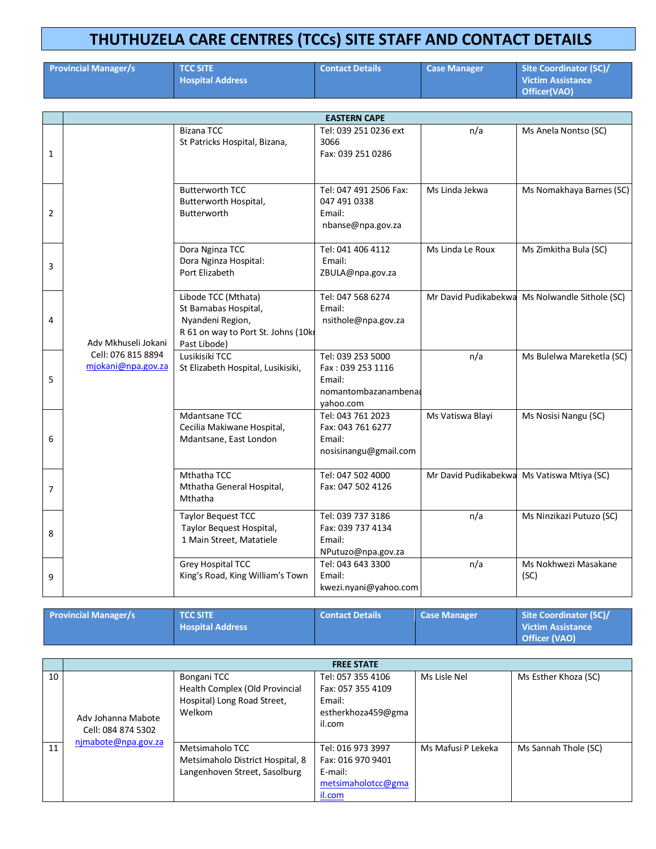## **THUTHUZELA CARE CENTRES (TCCs) SITE STAFF AND CONTACT DETAILS**

|                | <b>Provincial Manager/s</b>              | <b>TCC SITE</b><br><b>Hospital Address</b>                                                                             | <b>Contact Details</b>                                                               | <b>Case Manager</b>  | <b>Site Coordinator (SC)/</b><br><b>Victim Assistance</b><br>Officer(VAO) |  |  |
|----------------|------------------------------------------|------------------------------------------------------------------------------------------------------------------------|--------------------------------------------------------------------------------------|----------------------|---------------------------------------------------------------------------|--|--|
|                |                                          |                                                                                                                        |                                                                                      |                      |                                                                           |  |  |
|                |                                          |                                                                                                                        | <b>EASTERN CAPE</b>                                                                  |                      |                                                                           |  |  |
| 1              |                                          | <b>Bizana TCC</b><br>St Patricks Hospital, Bizana,                                                                     | Tel: 039 251 0236 ext<br>3066<br>Fax: 039 251 0286                                   | n/a                  | Ms Anela Nontso (SC)                                                      |  |  |
| 2              |                                          | <b>Butterworth TCC</b><br>Butterworth Hospital,<br>Butterworth                                                         | Tel: 047 491 2506 Fax:<br>047 491 0338<br>Email:<br>nbanse@npa.gov.za                | Ms Linda Jekwa       | Ms Nomakhaya Barnes (SC)                                                  |  |  |
| 3              |                                          | Dora Nginza TCC<br>Dora Nginza Hospital:<br>Port Elizabeth                                                             | Tel: 041 406 4112<br>Email:<br>ZBULA@npa.gov.za                                      | Ms Linda Le Roux     | Ms Zimkitha Bula (SC)                                                     |  |  |
| 4              | Adv Mkhuseli Jokani                      | Libode TCC (Mthata)<br>St Barnabas Hospital,<br>Nyandeni Region,<br>R 61 on way to Port St. Johns (10k<br>Past Libode) | Tel: 047 568 6274<br>Email:<br>nsithole@npa.gov.za                                   |                      | Mr David Pudikabekwa Ms Nolwandle Sithole (SC)                            |  |  |
| 5              | Cell: 076 815 8894<br>mjokani@npa.gov.za | Lusikisiki TCC<br>St Elizabeth Hospital, Lusikisiki,                                                                   | Tel: 039 253 5000<br>Fax: 039 253 1116<br>Email:<br>nomantombazanambena<br>yahoo.com | n/a                  | Ms Bulelwa Mareketla (SC)                                                 |  |  |
| 6              |                                          | Mdantsane TCC<br>Cecilia Makiwane Hospital,<br>Mdantsane, East London                                                  | Tel: 043 761 2023<br>Fax: 043 761 6277<br>Email:<br>nosisinangu@gmail.com            | Ms Vatiswa Blayi     | Ms Nosisi Nangu (SC)                                                      |  |  |
| $\overline{7}$ |                                          | Mthatha TCC<br>Mthatha General Hospital,<br>Mthatha                                                                    | Tel: 047 502 4000<br>Fax: 047 502 4126                                               | Mr David Pudikabekwa | Ms Vatiswa Mtiya (SC)                                                     |  |  |
| 8              |                                          | <b>Taylor Bequest TCC</b><br>Taylor Bequest Hospital,<br>1 Main Street, Matatiele                                      | Tel: 039 737 3186<br>Fax: 039 737 4134<br>Email:<br>NPutuzo@npa.gov.za               | n/a                  | Ms Ninzikazi Putuzo (SC)                                                  |  |  |
| 9              |                                          | <b>Grey Hospital TCC</b><br>King's Road, King William's Town                                                           | Tel: 043 643 3300<br>Email:                                                          | n/a                  | Ms Nokhwezi Masakane<br>(SC)                                              |  |  |

| <b>Provincial Manager/s</b> | <b>TCC SITE</b><br><b>Hospital Address</b> | <b>Contact Details</b> | Case Manager | Site Coordinator (SC)/<br><b>Victim Assistance</b><br>Officer (VAO) |
|-----------------------------|--------------------------------------------|------------------------|--------------|---------------------------------------------------------------------|
|-----------------------------|--------------------------------------------|------------------------|--------------|---------------------------------------------------------------------|

kwezi.nyani@yahoo.com

|    | <b>FREE STATE</b>                        |                                                                                        |                                                                                   |                    |                      |  |  |
|----|------------------------------------------|----------------------------------------------------------------------------------------|-----------------------------------------------------------------------------------|--------------------|----------------------|--|--|
| 10 | Adv Johanna Mabote<br>Cell: 084 874 5302 | Bongani TCC<br>Health Complex (Old Provincial<br>Hospital) Long Road Street,<br>Welkom | Tel: 057 355 4106<br>Fax: 057 355 4109<br>Email:<br>estherkhoza459@gma<br>il.com  | Ms Lisle Nel       | Ms Esther Khoza (SC) |  |  |
| 11 | njmabote@npa.gov.za                      | Metsimaholo TCC<br>Metsimaholo District Hospital, 8<br>Langenhoven Street, Sasolburg   | Tel: 016 973 3997<br>Fax: 016 970 9401<br>E-mail:<br>metsimaholotcc@gma<br>il.com | Ms Mafusi P Lekeka | Ms Sannah Thole (SC) |  |  |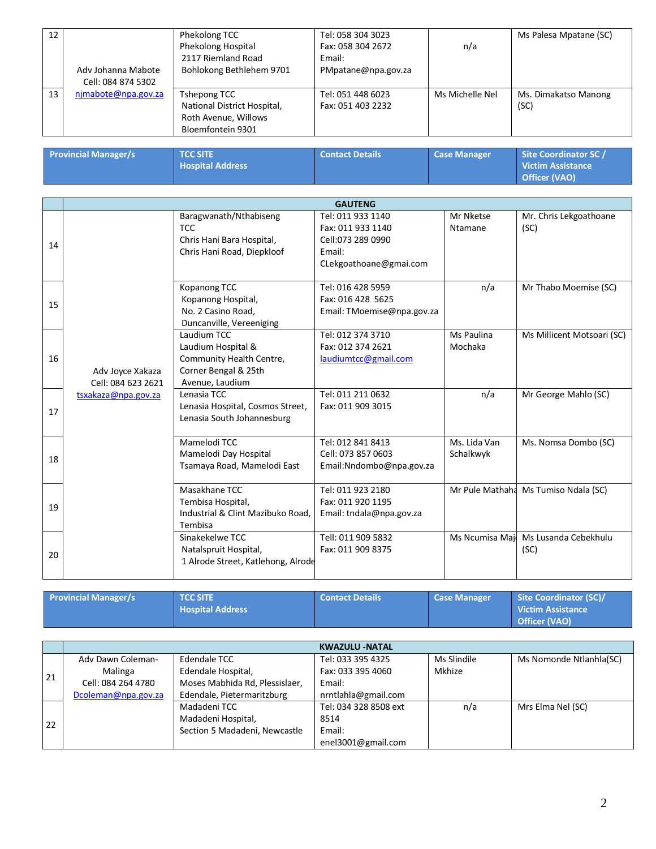| 12 | Adv Johanna Mabote<br>Cell: 084 874 5302 | Phekolong TCC<br>Phekolong Hospital<br>2117 Riemland Road<br>Bohlokong Bethlehem 9701    | Tel: 058 304 3023<br>Fax: 058 304 2672<br>Email:<br>PMpatane@npa.gov.za | n/a             | Ms Palesa Mpatane (SC)       |
|----|------------------------------------------|------------------------------------------------------------------------------------------|-------------------------------------------------------------------------|-----------------|------------------------------|
| 13 | njmabote@npa.gov.za                      | Tshepong TCC<br>National District Hospital,<br>Roth Avenue, Willows<br>Bloemfontein 9301 | Tel: 051 448 6023<br>Fax: 051 403 2232                                  | Ms Michelle Nel | Ms. Dimakatso Manong<br>(SC) |

| <b>Provincial Manager/s</b> | <b>TCC SITE</b><br><b>Hospital Address</b> | Contact Details | <b>Case Manager</b> | Site Coordinator SC /<br><b>Victim Assistance</b><br>Officer (VAO) |
|-----------------------------|--------------------------------------------|-----------------|---------------------|--------------------------------------------------------------------|
|                             |                                            |                 |                     |                                                                    |

|    |                     |                                    | <b>GAUTENG</b>             |                 |                                      |
|----|---------------------|------------------------------------|----------------------------|-----------------|--------------------------------------|
|    |                     | Baragwanath/Nthabiseng             | Tel: 011 933 1140          | Mr Nketse       | Mr. Chris Lekgoathoane               |
|    |                     | <b>TCC</b>                         | Fax: 011 933 1140          | Ntamane         | (SC)                                 |
| 14 |                     | Chris Hani Bara Hospital,          | Cell:073 289 0990          |                 |                                      |
|    |                     | Chris Hani Road, Diepkloof         | Email:                     |                 |                                      |
|    |                     |                                    | CLekgoathoane@gmai.com     |                 |                                      |
|    |                     |                                    |                            |                 |                                      |
|    |                     | Kopanong TCC                       | Tel: 016 428 5959          | n/a             | Mr Thabo Moemise (SC)                |
| 15 |                     | Kopanong Hospital,                 | Fax: 016 428 5625          |                 |                                      |
|    |                     | No. 2 Casino Road,                 | Email: TMoemise@npa.gov.za |                 |                                      |
|    |                     | Duncanville, Vereeniging           |                            |                 |                                      |
|    |                     | Laudium TCC                        | Tel: 012 374 3710          | Ms Paulina      | Ms Millicent Motsoari (SC)           |
|    |                     | Laudium Hospital &                 | Fax: 012 374 2621          | Mochaka         |                                      |
| 16 |                     | Community Health Centre,           | laudiumtcc@gmail.com       |                 |                                      |
|    | Adv Joyce Xakaza    | Corner Bengal & 25th               |                            |                 |                                      |
|    | Cell: 084 623 2621  | Avenue, Laudium                    |                            |                 |                                      |
|    | tsxakaza@npa.gov.za | Lenasia TCC                        | Tel: 011 211 0632          | n/a             | Mr George Mahlo (SC)                 |
| 17 |                     | Lenasia Hospital, Cosmos Street,   | Fax: 011 909 3015          |                 |                                      |
|    |                     | Lenasia South Johannesburg         |                            |                 |                                      |
|    |                     |                                    |                            |                 |                                      |
|    |                     | Mamelodi TCC                       | Tel: 012 841 8413          | Ms. Lida Van    | Ms. Nomsa Dombo (SC)                 |
| 18 |                     | Mamelodi Day Hospital              | Cell: 073 857 0603         | Schalkwyk       |                                      |
|    |                     | Tsamaya Road, Mamelodi East        | Email:Nndombo@npa.gov.za   |                 |                                      |
|    |                     |                                    |                            |                 |                                      |
|    |                     | Masakhane TCC                      | Tel: 011 923 2180          |                 | Mr Pule Mathaha Ms Tumiso Ndala (SC) |
| 19 |                     | Tembisa Hospital,                  | Fax: 011 920 1195          |                 |                                      |
|    |                     | Industrial & Clint Mazibuko Road,  | Email: tndala@npa.gov.za   |                 |                                      |
|    |                     | Tembisa                            |                            |                 |                                      |
|    |                     | Sinakekelwe TCC                    | Tell: 011 909 5832         | Ms Ncumisa Majo | Ms Lusanda Cebekhulu                 |
| 20 |                     | Natalspruit Hospital,              | Fax: 011 909 8375          |                 | (SC)                                 |
|    |                     | 1 Alrode Street, Katlehong, Alrode |                            |                 |                                      |
|    |                     |                                    |                            |                 |                                      |

| <b>Provincial Manager/s</b> | <b>TCC SITE</b>         | <b>Contact Details</b> | <b>Case Manager</b> | Site Coordinator (SC)/   |
|-----------------------------|-------------------------|------------------------|---------------------|--------------------------|
|                             | <b>Hospital Address</b> |                        |                     | <b>Victim Assistance</b> |
|                             |                         |                        |                     | Officer (VAO)            |

|    | <b>KWAZULU -NATAL</b> |                                |                       |             |                         |  |
|----|-----------------------|--------------------------------|-----------------------|-------------|-------------------------|--|
|    | Adv Dawn Coleman-     | Edendale TCC                   | Tel: 033 395 4325     | Ms Slindile | Ms Nomonde Ntlanhla(SC) |  |
| 21 | Malinga               | Edendale Hospital,             | Fax: 033 395 4060     | Mkhize      |                         |  |
|    | Cell: 084 264 4780    | Moses Mabhida Rd, Plessislaer, | Email:                |             |                         |  |
|    | Dcoleman@npa.gov.za   | Edendale, Pietermaritzburg     | nrntlahla@gmail.com   |             |                         |  |
|    |                       | Madadeni TCC                   | Tel: 034 328 8508 ext | n/a         | Mrs Elma Nel (SC)       |  |
| 22 |                       | Madadeni Hospital,             | 8514                  |             |                         |  |
|    |                       | Section 5 Madadeni, Newcastle  | Email:                |             |                         |  |
|    |                       |                                | enel3001@gmail.com    |             |                         |  |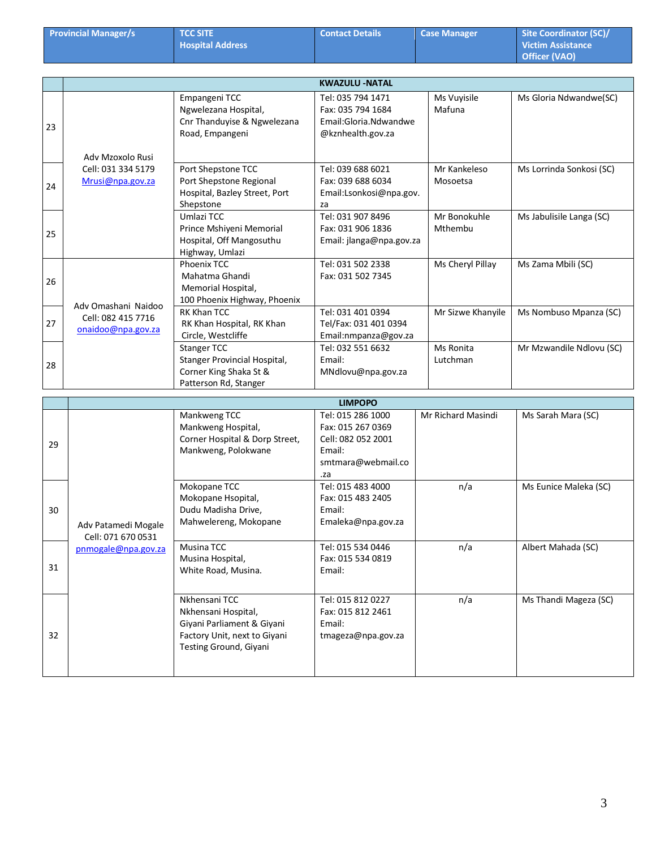|    | <b>Provincial Manager/s</b>               | <b>TCC SITE</b><br><b>Hospital Address</b>                                                                                   | <b>Contact Details</b>                                                                              | <b>Case Manager</b>      | <b>Site Coordinator (SC)/</b><br><b>Victim Assistance</b><br><b>Officer (VAO)</b> |
|----|-------------------------------------------|------------------------------------------------------------------------------------------------------------------------------|-----------------------------------------------------------------------------------------------------|--------------------------|-----------------------------------------------------------------------------------|
|    |                                           |                                                                                                                              | <b>KWAZULU -NATAL</b>                                                                               |                          |                                                                                   |
| 23 | Adv Mzoxolo Rusi                          | Empangeni TCC<br>Ngwelezana Hospital,<br>Cnr Thanduyise & Ngwelezana<br>Road, Empangeni                                      | Tel: 035 794 1471<br>Fax: 035 794 1684<br>Email:Gloria.Ndwandwe<br>@kznhealth.gov.za                | Ms Vuyisile<br>Mafuna    | Ms Gloria Ndwandwe(SC)                                                            |
| 24 | Cell: 031 334 5179<br>Mrusi@npa.gov.za    | Port Shepstone TCC<br>Port Shepstone Regional<br>Hospital, Bazley Street, Port<br>Shepstone                                  | Tel: 039 688 6021<br>Fax: 039 688 6034<br>Email:Lsonkosi@npa.gov.<br>za                             | Mr Kankeleso<br>Mosoetsa | Ms Lorrinda Sonkosi (SC)                                                          |
| 25 |                                           | Umlazi TCC<br>Prince Mshiyeni Memorial<br>Hospital, Off Mangosuthu<br>Highway, Umlazi                                        | Tel: 031 907 8496<br>Fax: 031 906 1836<br>Email: jlanga@npa.gov.za                                  | Mr Bonokuhle<br>Mthembu  | Ms Jabulisile Langa (SC)                                                          |
| 26 | Adv Omashani Naidoo                       | Phoenix TCC<br>Mahatma Ghandi<br>Memorial Hospital,<br>100 Phoenix Highway, Phoenix                                          | Tel: 031 502 2338<br>Fax: 031 502 7345                                                              | Ms Cheryl Pillay         | Ms Zama Mbili (SC)                                                                |
| 27 | Cell: 082 415 7716<br>onaidoo@npa.gov.za  | RK Khan TCC<br>RK Khan Hospital, RK Khan<br>Circle, Westcliffe                                                               | Tel: 031 401 0394<br>Tel/Fax: 031 401 0394<br>Email:nmpanza@gov.za                                  | Mr Sizwe Khanyile        | Ms Nombuso Mpanza (SC)                                                            |
| 28 |                                           | <b>Stanger TCC</b><br>Stanger Provincial Hospital,<br>Corner King Shaka St &<br>Patterson Rd, Stanger                        | Tel: 032 551 6632<br>Email:<br>MNdlovu@npa.gov.za                                                   | Ms Ronita<br>Lutchman    | Mr Mzwandile Ndlovu (SC)                                                          |
|    |                                           |                                                                                                                              | <b>LIMPOPO</b>                                                                                      |                          |                                                                                   |
| 29 |                                           | Mankweng TCC<br>Mankweng Hospital,<br>Corner Hospital & Dorp Street,<br>Mankweng, Polokwane                                  | Tel: 015 286 1000<br>Fax: 015 267 0369<br>Cell: 082 052 2001<br>Email:<br>smtmara@webmail.co<br>.za | Mr Richard Masindi       | Ms Sarah Mara (SC)                                                                |
| 30 | Adv Patamedi Mogale<br>Cell: 071 670 0531 | Mokopane TCC<br>Mokopane Hsopital,<br>Dudu Madisha Drive,<br>Mahwelereng, Mokopane                                           | Tel: 015 483 4000<br>Fax: 015 483 2405<br>Email:<br>Emaleka@npa.gov.za                              | n/a                      | Ms Eunice Maleka (SC)                                                             |
| 31 | pnmogale@npa.gov.za                       | Musina TCC<br>Musina Hospital,<br>White Road, Musina.                                                                        | Tel: 015 534 0446<br>Fax: 015 534 0819<br>Email:                                                    | n/a                      | Albert Mahada (SC)                                                                |
| 32 |                                           | Nkhensani TCC<br>Nkhensani Hospital,<br>Giyani Parliament & Giyani<br>Factory Unit, next to Giyani<br>Testing Ground, Giyani | Tel: 015 812 0227<br>Fax: 015 812 2461<br>Email:<br>tmageza@npa.gov.za                              | n/a                      | Ms Thandi Mageza (SC)                                                             |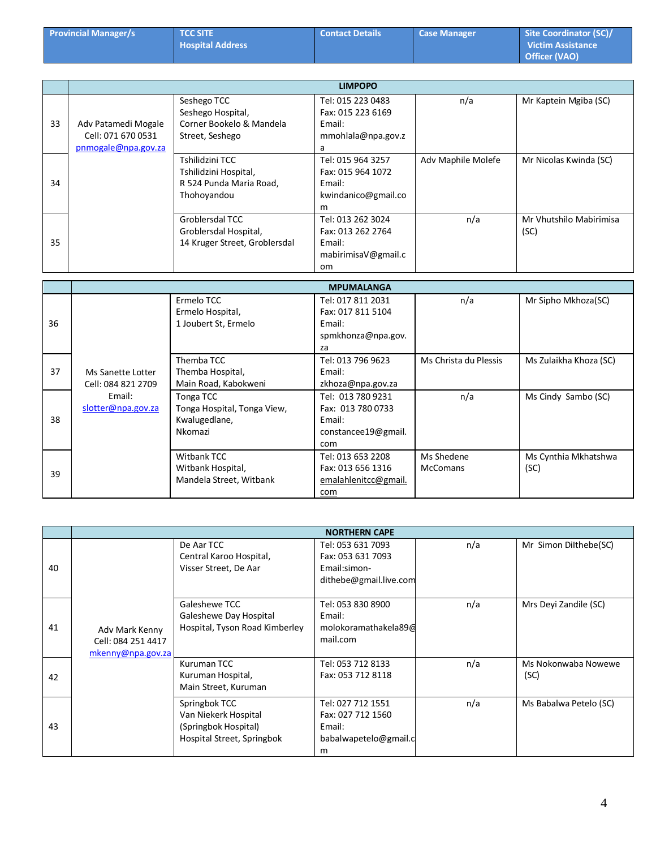| <b>Provincial Manager/s</b> | <b>TCC SITE</b>         | <b>Contact Details</b> | <b>Case Manager</b> | Site Coordinator (SC)/   |
|-----------------------------|-------------------------|------------------------|---------------------|--------------------------|
|                             | <b>Hospital Address</b> |                        |                     | <b>Victim Assistance</b> |
|                             |                         |                        |                     | <b>Officer (VAO)</b>     |

|    |                     |                               | <b>LIMPOPO</b>      |                    |                         |
|----|---------------------|-------------------------------|---------------------|--------------------|-------------------------|
|    |                     | Seshego TCC                   | Tel: 015 223 0483   | n/a                | Mr Kaptein Mgiba (SC)   |
|    |                     | Seshego Hospital,             | Fax: 015 223 6169   |                    |                         |
| 33 | Adv Patamedi Mogale | Corner Bookelo & Mandela      | Email:              |                    |                         |
|    | Cell: 071 670 0531  | Street, Seshego               | mmohlala@npa.gov.z  |                    |                         |
|    | pnmogale@npa.gov.za |                               | a                   |                    |                         |
|    |                     | Tshilidzini TCC               | Tel: 015 964 3257   | Adv Maphile Molefe | Mr Nicolas Kwinda (SC)  |
|    |                     | Tshilidzini Hospital,         | Fax: 015 964 1072   |                    |                         |
| 34 |                     | R 524 Punda Maria Road,       | Email:              |                    |                         |
|    |                     | Thohoyandou                   | kwindanico@gmail.co |                    |                         |
|    |                     |                               | m                   |                    |                         |
|    |                     | Groblersdal TCC               | Tel: 013 262 3024   | n/a                | Mr Vhutshilo Mabirimisa |
|    |                     | Groblersdal Hospital,         | Fax: 013 262 2764   |                    | (SC)                    |
| 35 |                     | 14 Kruger Street, Groblersdal | Email:              |                    |                         |
|    |                     |                               | mabirimisaV@gmail.c |                    |                         |
|    |                     |                               | <sub>om</sub>       |                    |                         |

|    |                                         |                                                                      | <b>MPUMALANGA</b>                                                              |                               |                              |
|----|-----------------------------------------|----------------------------------------------------------------------|--------------------------------------------------------------------------------|-------------------------------|------------------------------|
| 36 |                                         | Ermelo TCC<br>Ermelo Hospital,<br>1 Joubert St, Ermelo               | Tel: 017 811 2031<br>Fax: 017 811 5104<br>Email:<br>spmkhonza@npa.gov.<br>za   | n/a                           | Mr Sipho Mkhoza(SC)          |
| 37 | Ms Sanette Lotter<br>Cell: 084 821 2709 | Themba TCC<br>Themba Hospital,<br>Main Road, Kabokweni               | Tel: 013 796 9623<br>Email:<br>zkhoza@npa.gov.za                               | Ms Christa du Plessis         | Ms Zulaikha Khoza (SC)       |
| 38 | Email:<br>slotter@npa.gov.za            | Tonga TCC<br>Tonga Hospital, Tonga View,<br>Kwalugedlane,<br>Nkomazi | Tel: 013 780 9231<br>Fax: 013 780 0733<br>Email:<br>constancee19@gmail.<br>com | n/a                           | Ms Cindy Sambo (SC)          |
| 39 |                                         | Witbank TCC<br>Witbank Hospital,<br>Mandela Street, Witbank          | Tel: 013 653 2208<br>Fax: 013 656 1316<br>emalahlenitcc@gmail.<br>com          | Ms Shedene<br><b>McComans</b> | Ms Cynthia Mkhatshwa<br>(SC) |

|    | <b>NORTHERN CAPE</b>                                      |                                                                                             |                                                                                  |     |                             |  |  |
|----|-----------------------------------------------------------|---------------------------------------------------------------------------------------------|----------------------------------------------------------------------------------|-----|-----------------------------|--|--|
| 40 | Adv Mark Kenny<br>Cell: 084 251 4417<br>mkenny@npa.gov.za | De Aar TCC<br>Central Karoo Hospital,<br>Visser Street, De Aar                              | Tel: 053 631 7093<br>Fax: 053 631 7093<br>Email:simon-<br>dithebe@gmail.live.com | n/a | Mr Simon Dilthebe(SC)       |  |  |
| 41 |                                                           | Galeshewe TCC<br>Galeshewe Day Hospital<br>Hospital, Tyson Road Kimberley                   | Tel: 053 830 8900<br>Email:<br>molokoramathakela 896<br>mail.com                 | n/a | Mrs Deyi Zandile (SC)       |  |  |
| 42 |                                                           | Kuruman TCC<br>Kuruman Hospital,<br>Main Street, Kuruman                                    | Tel: 053 712 8133<br>Fax: 053 712 8118                                           | n/a | Ms Nokonwaba Nowewe<br>(SC) |  |  |
| 43 |                                                           | Springbok TCC<br>Van Niekerk Hospital<br>(Springbok Hospital)<br>Hospital Street, Springbok | Tel: 027 712 1551<br>Fax: 027 712 1560<br>Email:<br>babalwapetelo@gmail.c<br>m   | n/a | Ms Babalwa Petelo (SC)      |  |  |